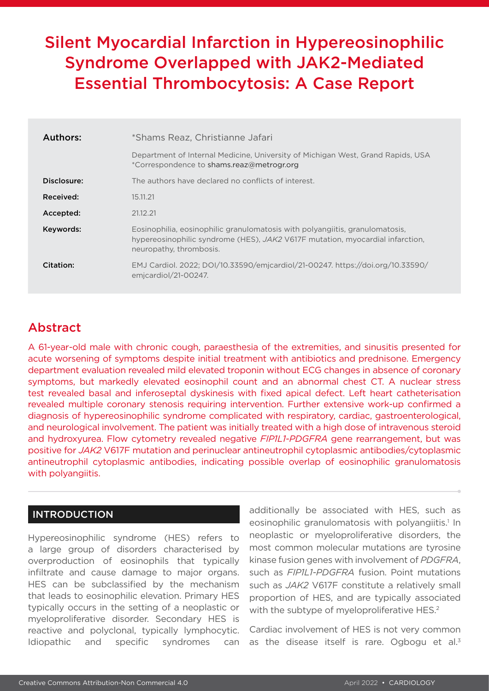# Silent Myocardial Infarction in Hypereosinophilic Syndrome Overlapped with JAK2-Mediated Essential Thrombocytosis: A Case Report

| Authors:    | *Shams Reaz, Christianne Jafari                                                                                                                                                          |
|-------------|------------------------------------------------------------------------------------------------------------------------------------------------------------------------------------------|
|             | Department of Internal Medicine, University of Michigan West, Grand Rapids, USA<br>*Correspondence to shams.reaz@metrogr.org                                                             |
| Disclosure: | The authors have declared no conflicts of interest.                                                                                                                                      |
| Received:   | 15.11.21                                                                                                                                                                                 |
| Accepted:   | 21.12.21                                                                                                                                                                                 |
| Keywords:   | Eosinophilia, eosinophilic granulomatosis with polyangiitis, granulomatosis,<br>hypereosinophilic syndrome (HES), JAK2 V617F mutation, myocardial infarction,<br>neuropathy, thrombosis. |
| Citation:   | EMJ Cardiol. 2022; DOI/10.33590/emjcardiol/21-00247. https://doi.org/10.33590/<br>emicardiol/21-00247.                                                                                   |

## Abstract

A 61-year-old male with chronic cough, paraesthesia of the extremities, and sinusitis presented for acute worsening of symptoms despite initial treatment with antibiotics and prednisone. Emergency department evaluation revealed mild elevated troponin without ECG changes in absence of coronary symptoms, but markedly elevated eosinophil count and an abnormal chest CT. A nuclear stress test revealed basal and inferoseptal dyskinesis with fixed apical defect. Left heart catheterisation revealed multiple coronary stenosis requiring intervention. Further extensive work-up confirmed a diagnosis of hypereosinophilic syndrome complicated with respiratory, cardiac, gastroenterological, and neurological involvement. The patient was initially treated with a high dose of intravenous steroid and hydroxyurea. Flow cytometry revealed negative *FIP1L1-PDGFRA* gene rearrangement, but was positive for *JAK2* V617F mutation and perinuclear antineutrophil cytoplasmic antibodies/cytoplasmic antineutrophil cytoplasmic antibodies, indicating possible overlap of eosinophilic granulomatosis with polyangiitis.

### INTRODUCTION

Hypereosinophilic syndrome (HES) refers to a large group of disorders characterised by overproduction of eosinophils that typically infiltrate and cause damage to major organs. HES can be subclassified by the mechanism that leads to eosinophilic elevation. Primary HES typically occurs in the setting of a neoplastic or myeloproliferative disorder. Secondary HES is reactive and polyclonal, typically lymphocytic. Idiopathic and specific syndromes can additionally be associated with HES, such as eosinophilic granulomatosis with polyangiitis.<sup>1</sup> In neoplastic or myeloproliferative disorders, the most common molecular mutations are tyrosine kinase fusion genes with involvement of *PDGFRA*, such as *FIP1L1-PDGFRA* fusion. Point mutations such as *JAK2* V617F constitute a relatively small proportion of HES, and are typically associated with the subtype of myeloproliferative HES.<sup>2</sup>

Cardiac involvement of HES is not very common as the disease itself is rare. Ogbogu et al. $3$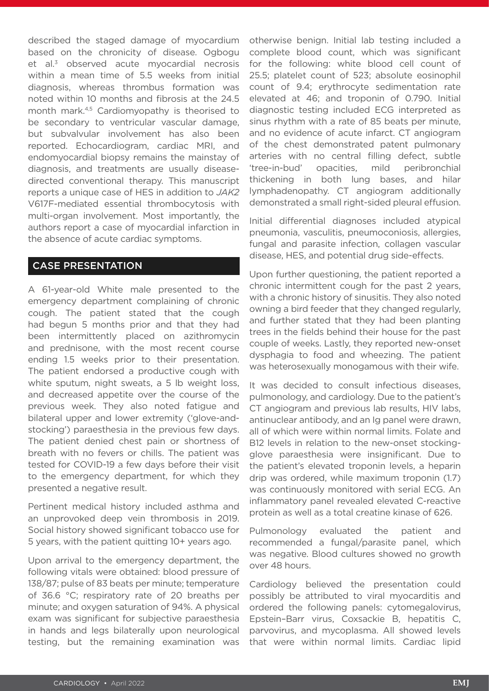described the staged damage of myocardium based on the chronicity of disease. Ogbogu et al.<sup>3</sup> observed acute myocardial necrosis within a mean time of 5.5 weeks from initial diagnosis, whereas thrombus formation was noted within 10 months and fibrosis at the 24.5 month mark.<sup>4,5</sup> Cardiomyopathy is theorised to be secondary to ventricular vascular damage, but subvalvular involvement has also been reported. Echocardiogram, cardiac MRI, and endomyocardial biopsy remains the mainstay of diagnosis, and treatments are usually diseasedirected conventional therapy. This manuscript reports a unique case of HES in addition to *JAK2*  V617F-mediated essential thrombocytosis with multi-organ involvement. Most importantly, the authors report a case of myocardial infarction in the absence of acute cardiac symptoms.

## CASE PRESENTATION

A 61-year-old White male presented to the emergency department complaining of chronic cough. The patient stated that the cough had begun 5 months prior and that they had been intermittently placed on azithromycin and prednisone, with the most recent course ending 1.5 weeks prior to their presentation. The patient endorsed a productive cough with white sputum, night sweats, a 5 lb weight loss, and decreased appetite over the course of the previous week. They also noted fatigue and bilateral upper and lower extremity ('glove-andstocking') paraesthesia in the previous few days. The patient denied chest pain or shortness of breath with no fevers or chills. The patient was tested for COVID-19 a few days before their visit to the emergency department, for which they presented a negative result.

Pertinent medical history included asthma and an unprovoked deep vein thrombosis in 2019. Social history showed significant tobacco use for 5 years, with the patient quitting 10+ years ago.

Upon arrival to the emergency department, the following vitals were obtained: blood pressure of 138/87; pulse of 83 beats per minute; temperature of 36.6 °C; respiratory rate of 20 breaths per minute; and oxygen saturation of 94%. A physical exam was significant for subjective paraesthesia in hands and legs bilaterally upon neurological testing, but the remaining examination was

otherwise benign. Initial lab testing included a complete blood count, which was significant for the following: white blood cell count of 25.5; platelet count of 523; absolute eosinophil count of 9.4; erythrocyte sedimentation rate elevated at 46; and troponin of 0.790. Initial diagnostic testing included ECG interpreted as sinus rhythm with a rate of 85 beats per minute, and no evidence of acute infarct. CT angiogram of the chest demonstrated patent pulmonary arteries with no central filling defect, subtle 'tree-in-bud' opacities, mild peribronchial thickening in both lung bases, and hilar lymphadenopathy. CT angiogram additionally demonstrated a small right-sided pleural effusion.

Initial differential diagnoses included atypical pneumonia, vasculitis, pneumoconiosis, allergies, fungal and parasite infection, collagen vascular disease, HES, and potential drug side-effects.

Upon further questioning, the patient reported a chronic intermittent cough for the past 2 years, with a chronic history of sinusitis. They also noted owning a bird feeder that they changed regularly, and further stated that they had been planting trees in the fields behind their house for the past couple of weeks. Lastly, they reported new-onset dysphagia to food and wheezing. The patient was heterosexually monogamous with their wife.

It was decided to consult infectious diseases, pulmonology, and cardiology. Due to the patient's CT angiogram and previous lab results, HIV labs, antinuclear antibody, and an Ig panel were drawn, all of which were within normal limits. Folate and B12 levels in relation to the new-onset stockingglove paraesthesia were insignificant. Due to the patient's elevated troponin levels, a heparin drip was ordered, while maximum troponin (1.7) was continuously monitored with serial ECG. An inflammatory panel revealed elevated C-reactive protein as well as a total creatine kinase of 626.

Pulmonology evaluated the patient and recommended a fungal/parasite panel, which was negative. Blood cultures showed no growth over 48 hours.

Cardiology believed the presentation could possibly be attributed to viral myocarditis and ordered the following panels: cytomegalovirus, Epstein–Barr virus, Coxsackie B, hepatitis C, parvovirus, and mycoplasma. All showed levels that were within normal limits. Cardiac lipid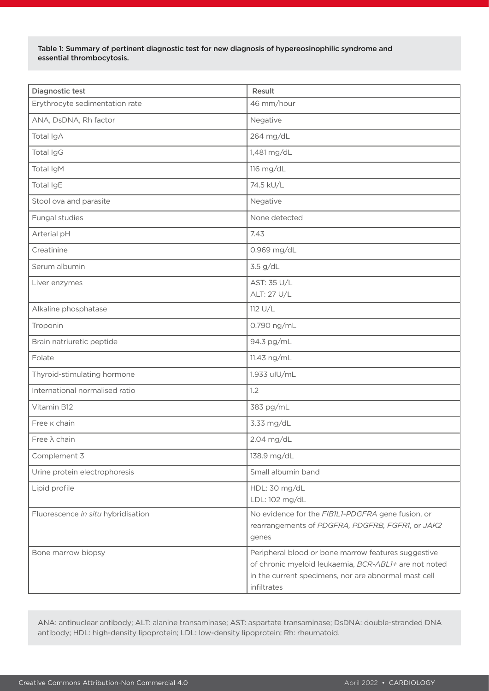#### Table 1: Summary of pertinent diagnostic test for new diagnosis of hypereosinophilic syndrome and essential thrombocytosis.

| <b>Diagnostic test</b>             | Result                                                                                                                                                                              |
|------------------------------------|-------------------------------------------------------------------------------------------------------------------------------------------------------------------------------------|
| Erythrocyte sedimentation rate     | 46 mm/hour                                                                                                                                                                          |
| ANA, DsDNA, Rh factor              | Negative                                                                                                                                                                            |
| Total IgA                          | 264 mg/dL                                                                                                                                                                           |
| Total IgG                          | 1,481 mg/dL                                                                                                                                                                         |
| Total IgM                          | 116 mg/dL                                                                                                                                                                           |
| Total IgE                          | 74.5 kU/L                                                                                                                                                                           |
| Stool ova and parasite             | Negative                                                                                                                                                                            |
| Fungal studies                     | None detected                                                                                                                                                                       |
| Arterial pH                        | 7.43                                                                                                                                                                                |
| Creatinine                         | 0.969 mg/dL                                                                                                                                                                         |
| Serum albumin                      | 3.5 g/dL                                                                                                                                                                            |
| Liver enzymes                      | AST: 35 U/L<br>ALT: 27 U/L                                                                                                                                                          |
| Alkaline phosphatase               | 112 U/L                                                                                                                                                                             |
| Troponin                           | 0.790 ng/mL                                                                                                                                                                         |
| Brain natriuretic peptide          | 94.3 pg/mL                                                                                                                                                                          |
| Folate                             | 11.43 ng/mL                                                                                                                                                                         |
| Thyroid-stimulating hormone        | 1.933 uIU/mL                                                                                                                                                                        |
| International normalised ratio     | 1.2                                                                                                                                                                                 |
| Vitamin B12                        | 383 pg/mL                                                                                                                                                                           |
| Free <b>K</b> chain                | 3.33 mg/dL                                                                                                                                                                          |
| Free $\lambda$ chain               | 2.04 mg/dL                                                                                                                                                                          |
| Complement 3                       | 138.9 mg/dL                                                                                                                                                                         |
| Urine protein electrophoresis      | Small albumin band                                                                                                                                                                  |
| Lipid profile                      | HDL: 30 mg/dL<br>LDL: 102 mg/dL                                                                                                                                                     |
| Fluorescence in situ hybridisation | No evidence for the FIB1L1-PDGFRA gene fusion, or<br>rearrangements of PDGFRA, PDGFRB, FGFR1, or JAK2<br>genes                                                                      |
| Bone marrow biopsy                 | Peripheral blood or bone marrow features suggestive<br>of chronic myeloid leukaemia, BCR-ABL1+ are not noted<br>in the current specimens, nor are abnormal mast cell<br>infiltrates |

ANA: antinuclear antibody; ALT: alanine transaminase; AST: aspartate transaminase; DsDNA: double-stranded DNA antibody; HDL: high-density lipoprotein; LDL: low-density lipoprotein; Rh: rheumatoid.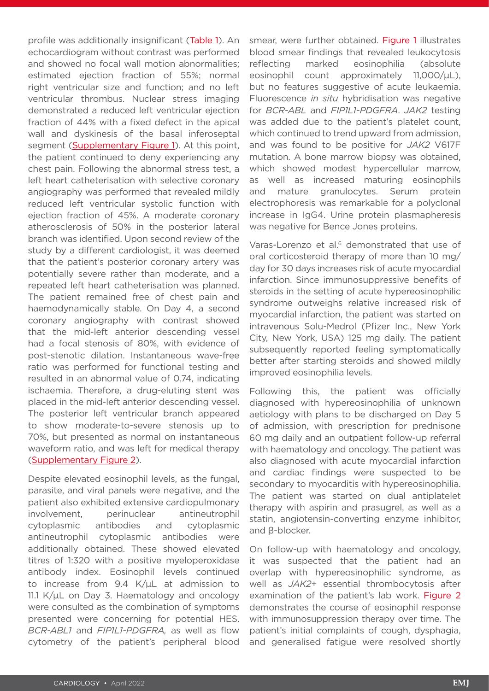profile was additionally insignificant (Table 1). An echocardiogram without contrast was performed and showed no focal wall motion abnormalities; estimated ejection fraction of 55%; normal right ventricular size and function; and no left ventricular thrombus. Nuclear stress imaging demonstrated a reduced left ventricular ejection fraction of 44% with a fixed defect in the apical wall and dyskinesis of the basal inferoseptal segment [\(Supplementary Figure 1\)](http://emj.emg-health.com/wp-content/uploads/sites/2/2022/04/Reaz-Supplementary-Figure-1.pdf). At this point, the patient continued to deny experiencing any chest pain. Following the abnormal stress test, a left heart catheterisation with selective coronary angiography was performed that revealed mildly reduced left ventricular systolic function with ejection fraction of 45%. A moderate coronary atherosclerosis of 50% in the posterior lateral branch was identified. Upon second review of the study by a different cardiologist, it was deemed that the patient's posterior coronary artery was potentially severe rather than moderate, and a repeated left heart catheterisation was planned. The patient remained free of chest pain and haemodynamically stable. On Day 4, a second coronary angiography with contrast showed that the mid-left anterior descending vessel had a focal stenosis of 80%, with evidence of post-stenotic dilation. Instantaneous wave-free ratio was performed for functional testing and resulted in an abnormal value of 0.74, indicating ischaemia. Therefore, a drug-eluting stent was placed in the mid-left anterior descending vessel. The posterior left ventricular branch appeared to show moderate-to-severe stenosis up to 70%, but presented as normal on instantaneous waveform ratio, and was left for medical therapy ([Supplementary Figure 2](http://emj.emg-health.com/wp-content/uploads/sites/2/2022/04/Reaz-Supplementary-Figure-2.pdf)).

Despite elevated eosinophil levels, as the fungal, parasite, and viral panels were negative, and the patient also exhibited extensive cardiopulmonary involvement, perinuclear antineutrophil cytoplasmic antibodies and cytoplasmic antineutrophil cytoplasmic antibodies were additionally obtained. These showed elevated titres of 1:320 with a positive myeloperoxidase antibody index. Eosinophil levels continued to increase from 9.4 K/μL at admission to 11.1 K/μL on Day 3. Haematology and oncology were consulted as the combination of symptoms presented were concerning for potential HES. *BCR-ABL1* and *FIP1L1-PDGFRA,* as well as flow cytometry of the patient's peripheral blood

smear, were further obtained. Figure 1 illustrates blood smear findings that revealed leukocytosis reflecting marked eosinophilia (absolute eosinophil count approximately 11,000/μL), but no features suggestive of acute leukaemia. Fluorescence *in situ* hybridisation was negative for *BCR-ABL* and *FIP1L1-PDGFRA*. *JAK2* testing was added due to the patient's platelet count, which continued to trend upward from admission, and was found to be positive for *JAK2* V617F mutation. A bone marrow biopsy was obtained, which showed modest hypercellular marrow, as well as increased maturing eosinophils and mature granulocytes. Serum protein electrophoresis was remarkable for a polyclonal increase in IgG4. Urine protein plasmapheresis was negative for Bence Jones proteins.

Varas-Lorenzo et al.<sup>6</sup> demonstrated that use of oral corticosteroid therapy of more than 10 mg/ day for 30 days increases risk of acute myocardial infarction. Since immunosuppressive benefits of steroids in the setting of acute hypereosinophilic syndrome outweighs relative increased risk of myocardial infarction, the patient was started on intravenous Solu-Medrol (Pfizer Inc., New York City, New York, USA) 125 mg daily. The patient subsequently reported feeling symptomatically better after starting steroids and showed mildly improved eosinophilia levels.

Following this, the patient was officially diagnosed with hypereosinophilia of unknown aetiology with plans to be discharged on Day 5 of admission, with prescription for prednisone 60 mg daily and an outpatient follow-up referral with haematology and oncology. The patient was also diagnosed with acute myocardial infarction and cardiac findings were suspected to be secondary to myocarditis with hypereosinophilia. The patient was started on dual antiplatelet therapy with aspirin and prasugrel, as well as a statin, angiotensin-converting enzyme inhibitor, and β-blocker.

On follow-up with haematology and oncology, it was suspected that the patient had an overlap with hypereosinophilic syndrome, as well as *JAK2*+ essential thrombocytosis after examination of the patient's lab work. Figure 2 demonstrates the course of eosinophil response with immunosuppression therapy over time. The patient's initial complaints of cough, dysphagia, and generalised fatigue were resolved shortly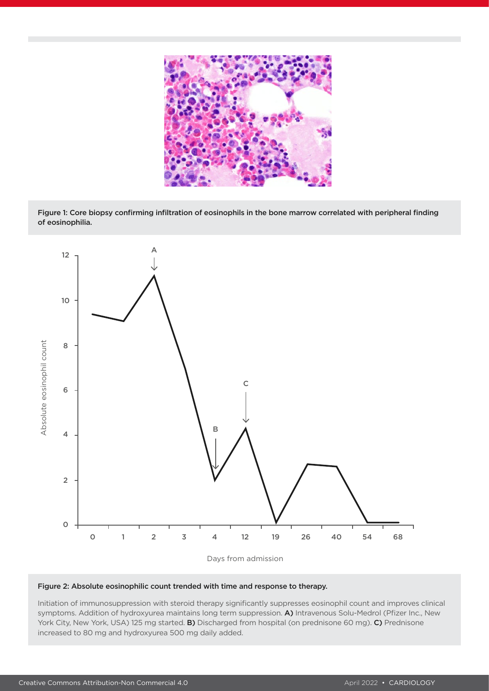

Figure 1: Core biopsy confirming infiltration of eosinophils in the bone marrow correlated with peripheral finding of eosinophilia.



#### Figure 2: Absolute eosinophilic count trended with time and response to therapy.

Initiation of immunosuppression with steroid therapy significantly suppresses eosinophil count and improves clinical symptoms. Addition of hydroxyurea maintains long term suppression. A) Intravenous Solu-Medrol (Pfizer Inc., New York City, New York, USA) 125 mg started. **B)** Discharged from hospital (on prednisone 60 mg). C) Prednisone increased to 80 mg and hydroxyurea 500 mg daily added.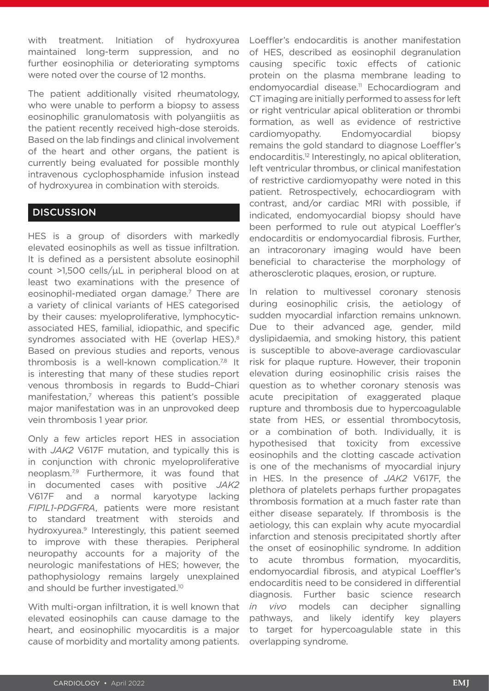with treatment. Initiation of hydroxyurea maintained long-term suppression, and no further eosinophilia or deteriorating symptoms were noted over the course of 12 months.

The patient additionally visited rheumatology, who were unable to perform a biopsy to assess eosinophilic granulomatosis with polyangiitis as the patient recently received high-dose steroids. Based on the lab findings and clinical involvement of the heart and other organs, the patient is currently being evaluated for possible monthly intravenous cyclophosphamide infusion instead of hydroxyurea in combination with steroids.

## **DISCUSSION**

HES is a group of disorders with markedly elevated eosinophils as well as tissue infiltration. It is defined as a persistent absolute eosinophil count >1,500 cells/μL in peripheral blood on at least two examinations with the presence of eosinophil-mediated organ damage.<sup>7</sup> There are a variety of clinical variants of HES categorised by their causes: myeloproliferative, lymphocyticassociated HES, familial, idiopathic, and specific syndromes associated with HE (overlap HES).<sup>8</sup> Based on previous studies and reports, venous thrombosis is a well-known complication.<sup>7,8</sup> It is interesting that many of these studies report venous thrombosis in regards to Budd–Chiari manifestation, $<sup>7</sup>$  whereas this patient's possible</sup> major manifestation was in an unprovoked deep vein thrombosis 1 year prior.

Only a few articles report HES in association with *JAK2* V617F mutation, and typically this is in conjunction with chronic myeloproliferative neoplasm.7,9 Furthermore, it was found that in documented cases with positive *JAK2* V617F and a normal karyotype lacking *FIP1L1-PDGFRA*, patients were more resistant to standard treatment with steroids and hydroxyurea.9 Interestingly, this patient seemed to improve with these therapies. Peripheral neuropathy accounts for a majority of the neurologic manifestations of HES; however, the pathophysiology remains largely unexplained and should be further investigated.<sup>10</sup>

With multi-organ infiltration, it is well known that elevated eosinophils can cause damage to the heart, and eosinophilic myocarditis is a major cause of morbidity and mortality among patients.

Loeffler's endocarditis is another manifestation of HES, described as eosinophil degranulation causing specific toxic effects of cationic protein on the plasma membrane leading to endomyocardial disease.<sup>11</sup> Echocardiogram and CT imaging are initially performed to assess for left or right ventricular apical obliteration or thrombi formation, as well as evidence of restrictive cardiomyopathy. Endomyocardial biopsy remains the gold standard to diagnose Loeffler's endocarditis.<sup>12</sup> Interestingly, no apical obliteration, left ventricular thrombus, or clinical manifestation of restrictive cardiomyopathy were noted in this patient. Retrospectively, echocardiogram with contrast, and/or cardiac MRI with possible, if indicated, endomyocardial biopsy should have been performed to rule out atypical Loeffler's endocarditis or endomyocardial fibrosis. Further, an intracoronary imaging would have been beneficial to characterise the morphology of atherosclerotic plaques, erosion, or rupture.

In relation to multivessel coronary stenosis during eosinophilic crisis, the aetiology of sudden myocardial infarction remains unknown. Due to their advanced age, gender, mild dyslipidaemia, and smoking history, this patient is susceptible to above-average cardiovascular risk for plaque rupture. However, their troponin elevation during eosinophilic crisis raises the question as to whether coronary stenosis was acute precipitation of exaggerated plaque rupture and thrombosis due to hypercoagulable state from HES, or essential thrombocytosis, or a combination of both. Individually, it is hypothesised that toxicity from excessive eosinophils and the clotting cascade activation is one of the mechanisms of myocardial injury in HES. In the presence of *JAK2* V617F, the plethora of platelets perhaps further propagates thrombosis formation at a much faster rate than either disease separately. If thrombosis is the aetiology, this can explain why acute myocardial infarction and stenosis precipitated shortly after the onset of eosinophilic syndrome. In addition to acute thrombus formation, myocarditis, endomyocardial fibrosis, and atypical Loeffler's endocarditis need to be considered in differential diagnosis. Further basic science research *in vivo* models can decipher signalling pathways, and likely identify key players to target for hypercoagulable state in this overlapping syndrome.